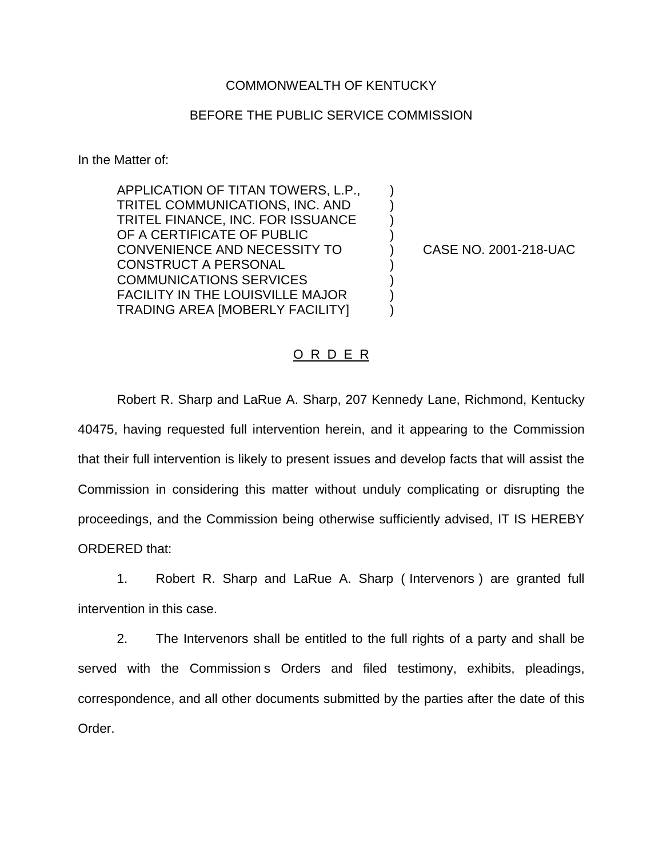## COMMONWEALTH OF KENTUCKY

## BEFORE THE PUBLIC SERVICE COMMISSION

In the Matter of:

APPLICATION OF TITAN TOWERS, L.P., ) TRITEL COMMUNICATIONS, INC. AND ) TRITEL FINANCE, INC. FOR ISSUANCE ) OF A CERTIFICATE OF PUBLIC CONVENIENCE AND NECESSITY TO ) CASE NO. 2001-218-UAC CONSTRUCT A PERSONAL COMMUNICATIONS SERVICES ) FACILITY IN THE LOUISVILLE MAJOR ) TRADING AREA [MOBERLY FACILITY] )

## O R D E R

Robert R. Sharp and LaRue A. Sharp, 207 Kennedy Lane, Richmond, Kentucky 40475, having requested full intervention herein, and it appearing to the Commission that their full intervention is likely to present issues and develop facts that will assist the Commission in considering this matter without unduly complicating or disrupting the proceedings, and the Commission being otherwise sufficiently advised, IT IS HEREBY ORDERED that:

1. Robert R. Sharp and LaRue A. Sharp ( Intervenors ) are granted full intervention in this case.

2. The Intervenors shall be entitled to the full rights of a party and shall be served with the Commission s Orders and filed testimony, exhibits, pleadings, correspondence, and all other documents submitted by the parties after the date of this Order.